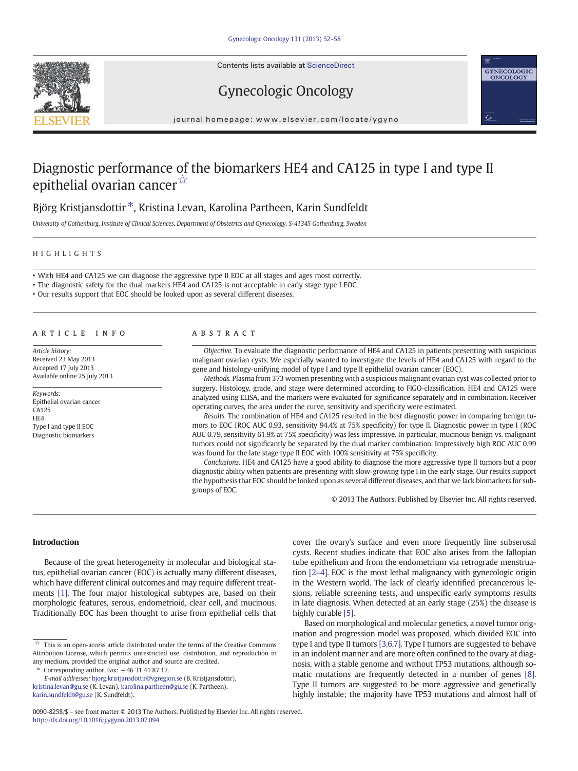Contents lists available at ScienceDirect





Gynecologic Oncology

journal homepage: www.elsevier.com/locate/ygyno

# Diagnostic performance of the biomarkers HE4 and CA125 in type I and type II epithelial ovarian cancer<sup>☆</sup>

# Björg Kristjansdottir<sup>\*</sup>, Kristina Levan, Karolina Partheen, Karin Sundfeldt

University of Gothenburg, Institute of Clinical Sciences, Department of Obstetrics and Gynecology, S-41345 Gothenburg, Sweden

#### HIGHLIGHTS

• With HE4 and CA125 we can diagnose the aggressive type II EOC at all stages and ages most correctly.

- The diagnostic safety for the dual markers HE4 and CA125 is not acceptable in early stage type I EOC.
- Our results support that EOC should be looked upon as several different diseases.

#### article info abstract

Article history: Received 23 May 2013 Accepted 17 July 2013 Available online 25 July 2013

#### Keywords: Epithelial ovarian cancer CA125 HE4 Type I and type II EOC Diagnostic biomarkers

Objective. To evaluate the diagnostic performance of HE4 and CA125 in patients presenting with suspicious malignant ovarian cysts. We especially wanted to investigate the levels of HE4 and CA125 with regard to the gene and histology-unifying model of type I and type II epithelial ovarian cancer (EOC).

Methods. Plasma from 373 women presenting with a suspicious malignant ovarian cyst was collected prior to surgery. Histology, grade, and stage were determined according to FIGO-classification. HE4 and CA125 were analyzed using ELISA, and the markers were evaluated for significance separately and in combination. Receiver operating curves, the area under the curve, sensitivity and specificity were estimated.

Results. The combination of HE4 and CA125 resulted in the best diagnostic power in comparing benign tumors to EOC (ROC AUC 0.93, sensitivity 94.4% at 75% specificity) for type II. Diagnostic power in type I (ROC AUC 0.79, sensitivity 61.9% at 75% specificity) was less impressive. In particular, mucinous benign vs. malignant tumors could not significantly be separated by the dual marker combination. Impressively high ROC AUC 0.99 was found for the late stage type II EOC with 100% sensitivity at 75% specificity.

Conclusions. HE4 and CA125 have a good ability to diagnose the more aggressive type II tumors but a poor diagnostic ability when patients are presenting with slow-growing type I in the early stage. Our results support the hypothesis that EOC should be looked upon as several different diseases, and that we lack biomarkers for subgroups of EOC.

© 2013 The Authors. Published by Elsevier Inc. All rights reserved.

#### Introduction

Because of the great heterogeneity in molecular and biological status, epithelial ovarian cancer (EOC) is actually many different diseases, which have different clinical outcomes and may require different treatments [\[1\].](#page-6-0) The four major histological subtypes are, based on their morphologic features, serous, endometrioid, clear cell, and mucinous. Traditionally EOC has been thought to arise from epithelial cells that

 $*$  Corresponding author. Fax:  $+46$  31 41 87 17.

[karin.sundfeldt@gu.se](mailto:karin.sundfeldt@gu.se) (K. Sundfeldt).

cover the ovary's surface and even more frequently line subserosal cysts. Recent studies indicate that EOC also arises from the fallopian tube epithelium and from the endometrium via retrograde menstruation [\[2](#page-6-0)–4]. EOC is the most lethal malignancy with gynecologic origin in the Western world. The lack of clearly identified precancerous lesions, reliable screening tests, and unspecific early symptoms results in late diagnosis. When detected at an early stage (25%) the disease is highly curable [\[5\]](#page-6-0).

Based on morphological and molecular genetics, a novel tumor origination and progression model was proposed, which divided EOC into type I and type II tumors [\[3,6,7\].](#page-6-0) Type I tumors are suggested to behave in an indolent manner and are more often confined to the ovary at diagnosis, with a stable genome and without TP53 mutations, although somatic mutations are frequently detected in a number of genes [\[8\].](#page-6-0) Type II tumors are suggested to be more aggressive and genetically highly instable; the majority have TP53 mutations and almost half of

 $\overrightarrow{a}$  This is an open-access article distributed under the terms of the Creative Commons Attribution License, which permits unrestricted use, distribution, and reproduction in any medium, provided the original author and source are credited.

E-mail addresses: [bjorg.kristjansdottir@vgregion.se](mailto:bjorg.kristjansdottir@vgregion.se) (B. Kristjansdottir), [kristina.levan@gu.se](mailto:kristina.levan@gu.se) (K. Levan), [karolina.partheen@gu.se](mailto:karolina.partheen@gu.se) (K. Partheen),

<sup>0090-8258/\$</sup> – see front matter © 2013 The Authors. Published by Elsevier Inc. All rights reserved. <http://dx.doi.org/10.1016/j.ygyno.2013.07.094>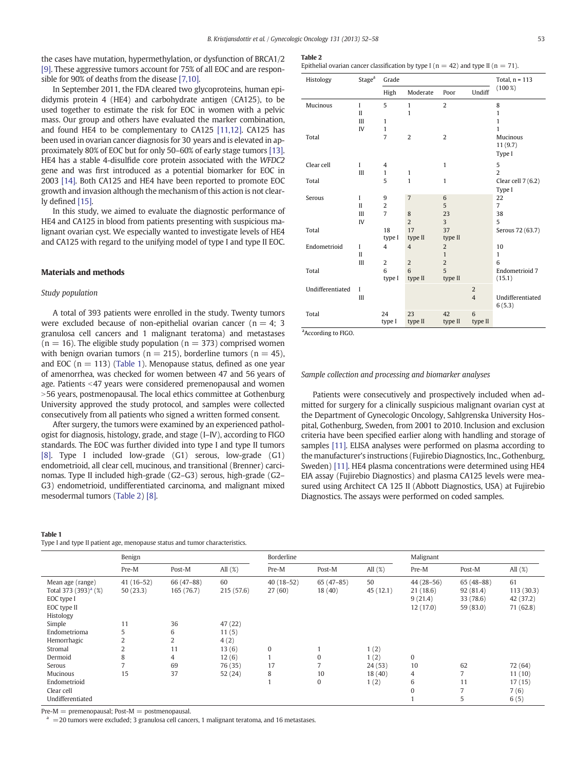<span id="page-1-0"></span>the cases have mutation, hypermethylation, or dysfunction of BRCA1/2 [\[9\]](#page-6-0). These aggressive tumors account for 75% of all EOC and are responsible for 90% of deaths from the disease [\[7,10\].](#page-6-0)

In September 2011, the FDA cleared two glycoproteins, human epididymis protein 4 (HE4) and carbohydrate antigen (CA125), to be used together to estimate the risk for EOC in women with a pelvic mass. Our group and others have evaluated the marker combination, and found HE4 to be complementary to CA125 [\[11,12\].](#page-6-0) CA125 has been used in ovarian cancer diagnosis for 30 years and is elevated in approximately 80% of EOC but for only 50–60% of early stage tumors [\[13\].](#page-6-0) HE4 has a stable 4-disulfide core protein associated with the WFDC2 gene and was first introduced as a potential biomarker for EOC in 2003 [\[14\].](#page-6-0) Both CA125 and HE4 have been reported to promote EOC growth and invasion although the mechanism of this action is not clearly defined [\[15\]](#page-6-0).

In this study, we aimed to evaluate the diagnostic performance of HE4 and CA125 in blood from patients presenting with suspicious malignant ovarian cyst. We especially wanted to investigate levels of HE4 and CA125 with regard to the unifying model of type I and type II EOC.

# Materials and methods

#### Study population

A total of 393 patients were enrolled in the study. Twenty tumors were excluded because of non-epithelial ovarian cancer ( $n = 4$ ; 3 granulosa cell cancers and 1 malignant teratoma) and metastases  $(n = 16)$ . The eligible study population  $(n = 373)$  comprised women with benign ovarian tumors ( $n = 215$ ), borderline tumors ( $n = 45$ ), and EOC ( $n = 113$ ) (Table 1). Menopause status, defined as one year of amenorrhea, was checked for women between 47 and 56 years of age. Patients <47 years were considered premenopausal and women >56 years, postmenopausal. The local ethics committee at Gothenburg University approved the study protocol, and samples were collected consecutively from all patients who signed a written formed consent.

After surgery, the tumors were examined by an experienced pathologist for diagnosis, histology, grade, and stage (I–IV), according to FIGO standards. The EOC was further divided into type I and type II tumors [\[8\]](#page-6-0). Type I included low-grade (G1) serous, low-grade (G1) endometrioid, all clear cell, mucinous, and transitional (Brenner) carcinomas. Type II included high-grade (G2–G3) serous, high-grade (G2– G3) endometrioid, undifferentiated carcinoma, and malignant mixed mesodermal tumors (Table 2) [\[8\].](#page-6-0)

| `able 1 |  |  |
|---------|--|--|
|         |  |  |

| Type I and type II patient age, menopause status and tumor characteristics. |  |  |
|-----------------------------------------------------------------------------|--|--|
|-----------------------------------------------------------------------------|--|--|

#### Table 2

Epithelial ovarian cancer classification by type I ( $n = 42$ ) and type II ( $n = 71$ ).

| Histology        | Stage <sup>a</sup> | Grade               |                | Total, $n = 113$ |                |                            |
|------------------|--------------------|---------------------|----------------|------------------|----------------|----------------------------|
|                  |                    | High                | Moderate       | Poor             | Undiff         | $(100\%)$                  |
| Mucinous         | $\mathbf{I}$       | 5                   | $\mathbf{1}$   | $\overline{2}$   |                | 8                          |
|                  | $\mathbf{I}$       |                     | $\mathbf{1}$   |                  |                | $\mathbf{1}$               |
|                  | Ш                  | $\mathbf{1}$        |                |                  |                | $\mathbf{1}$               |
|                  | IV                 | $\mathbf{1}$        |                |                  |                | $\mathbf{1}$               |
| Total            |                    | 7                   | $\overline{2}$ | $\overline{2}$   |                | Mucinous<br>11(9.7)        |
|                  |                    |                     |                |                  |                | Type I                     |
| Clear cell       | $\mathbf I$        | 4                   |                | $\mathbf{1}$     |                | 5                          |
|                  | Ш                  | 1                   | $\mathbf{1}$   |                  |                | $\overline{2}$             |
| Total            |                    | 5                   | $\mathbf{1}$   | $\mathbf{1}$     |                | Clear cell $7(6.2)$        |
|                  | $\mathbf{I}$       |                     | $\overline{7}$ | 6                |                | Type I<br>22               |
| Serous           | $\mathbf{I}$       | 9<br>$\overline{c}$ |                | 5                |                | $\overline{7}$             |
|                  | Ш                  | $\overline{7}$      | 8              | 23               |                | 38                         |
|                  | IV                 |                     | $\overline{2}$ | 3                |                | 5                          |
| Total            |                    | 18                  | 17             | 37               |                | Serous 72 (63.7)           |
|                  |                    | type I              | type II        | type II          |                |                            |
| Endometrioid     | I                  | 4                   | $\overline{4}$ | $\overline{2}$   |                | 10                         |
|                  | $\mathbf{I}$       |                     |                | $\mathbf{1}$     |                | 1                          |
|                  | Ш                  | $\overline{2}$      | $\overline{2}$ | $\overline{2}$   |                | 6                          |
| Total            |                    | 6                   | 6              | 5                |                | Endometrioid 7             |
|                  |                    | type I              | type II        | type II          |                | (15.1)                     |
| Undifferentiated | $\mathbf I$        |                     |                |                  | $\overline{2}$ |                            |
|                  | Ш                  |                     |                |                  | $\overline{4}$ | Undifferentiated<br>6(5.3) |
| Total            |                    | 24                  | 23             | 42               | 6              |                            |
|                  |                    | type I              | type II        | type II          | type II        |                            |

<sup>a</sup> According to FIGO.

#### Sample collection and processing and biomarker analyses

Patients were consecutively and prospectively included when admitted for surgery for a clinically suspicious malignant ovarian cyst at the Department of Gynecologic Oncology, Sahlgrenska University Hospital, Gothenburg, Sweden, from 2001 to 2010. Inclusion and exclusion criteria have been specified earlier along with handling and storage of samples [\[11\]](#page-6-0). ELISA analyses were performed on plasma according to the manufacturer's instructions (Fujirebio Diagnostics, Inc., Gothenburg, Sweden) [\[11\].](#page-6-0) HE4 plasma concentrations were determined using HE4 EIA assay (Fujirebio Diagnostics) and plasma CA125 levels were measured using Architect CA 125 II (Abbott Diagnostics, USA) at Fujirebio Diagnostics. The assays were performed on coded samples.

|                                                                                                                   | Benign                             |                                     |                                      | Borderline            |                       |                | Malignant                                      |                                                   |                                           |
|-------------------------------------------------------------------------------------------------------------------|------------------------------------|-------------------------------------|--------------------------------------|-----------------------|-----------------------|----------------|------------------------------------------------|---------------------------------------------------|-------------------------------------------|
|                                                                                                                   | Pre-M                              | Post-M                              | All $(\%)$                           | Pre-M                 | Post-M                | All $(\%)$     | Pre-M                                          | Post-M                                            | All $(\%)$                                |
| Mean age (range)<br>Total 373 $(393)^{a}$ (%)<br>EOC type I<br>EOC type II<br>Histology<br>Simple<br>Endometrioma | $41(16-52)$<br>50(23.3)<br>11<br>5 | 66 (47-88)<br>165 (76.7)<br>36<br>6 | 60<br>215 (57.6)<br>47 (22)<br>11(5) | $40(18-52)$<br>27(60) | $65(47-85)$<br>18(40) | 50<br>45(12.1) | $44(28-56)$<br>21(18.6)<br>9(21.4)<br>12(17.0) | $65(48-88)$<br>92(81.4)<br>33 (78.6)<br>59 (83.0) | 61<br>113(30.3)<br>42 (37.2)<br>71 (62.8) |
| Hemorrhagic                                                                                                       | $\overline{2}$                     | 2                                   | 4(2)                                 |                       |                       |                |                                                |                                                   |                                           |
| Stromal                                                                                                           | $\overline{2}$                     | 11                                  | 13(6)                                | $\mathbf{0}$          |                       | 1(2)           |                                                |                                                   |                                           |
| Dermoid                                                                                                           | 8                                  | 4                                   | 12(6)                                |                       | $\mathbf{0}$          | 1(2)           | $\mathbf{0}$                                   |                                                   |                                           |
| Serous                                                                                                            | $\overline{ }$                     | 69                                  | 76 (35)                              | 17                    |                       | 24(53)         | 10                                             | 62                                                | 72 (64)                                   |
| Mucinous                                                                                                          | 15                                 | 37                                  | 52(24)                               | 8                     | 10                    | 18(40)         | 4                                              | $\overline{7}$                                    | 11(10)                                    |
| Endometrioid                                                                                                      |                                    |                                     |                                      |                       | $\mathbf{0}$          | 1(2)           | 6                                              | 11                                                | 17(15)                                    |
| Clear cell                                                                                                        |                                    |                                     |                                      |                       |                       |                | $\mathbf{0}$                                   | $\overline{7}$                                    | 7(6)                                      |
| Undifferentiated                                                                                                  |                                    |                                     |                                      |                       |                       |                |                                                | 5                                                 | 6(5)                                      |

Pre-M = premenopausal; Post-M = postmenopausal.

 $=$  20 tumors were excluded; 3 granulosa cell cancers, 1 malignant teratoma, and 16 metastases.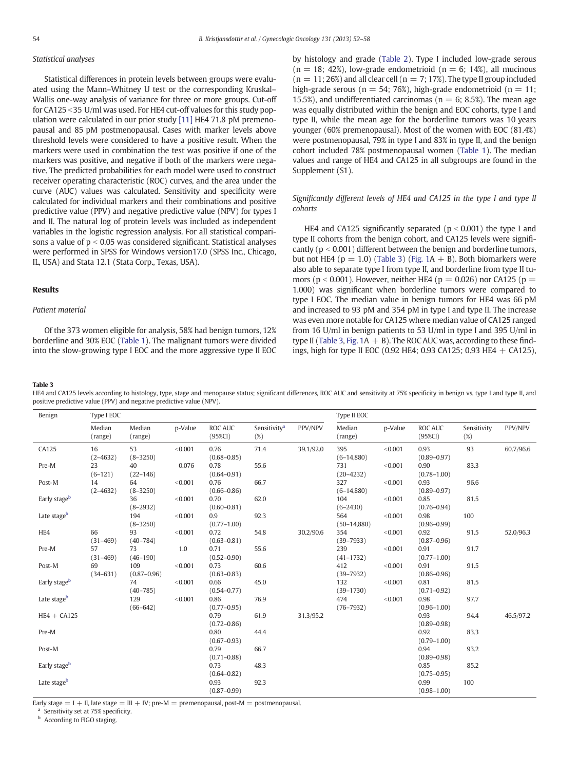# <span id="page-2-0"></span>Statistical analyses

Statistical differences in protein levels between groups were evaluated using the Mann–Whitney U test or the corresponding Kruskal– Wallis one-way analysis of variance for three or more groups. Cut-off for CA125 < 35 U/ml was used. For HE4 cut-off values for this study population were calculated in our prior study [\[11\]](#page-6-0) HE4 71.8 pM premenopausal and 85 pM postmenopausal. Cases with marker levels above threshold levels were considered to have a positive result. When the markers were used in combination the test was positive if one of the markers was positive, and negative if both of the markers were negative. The predicted probabilities for each model were used to construct receiver operating characteristic (ROC) curves, and the area under the curve (AUC) values was calculated. Sensitivity and specificity were calculated for individual markers and their combinations and positive predictive value (PPV) and negative predictive value (NPV) for types I and II. The natural log of protein levels was included as independent variables in the logistic regression analysis. For all statistical comparisons a value of  $p < 0.05$  was considered significant. Statistical analyses were performed in SPSS for Windows version17.0 (SPSS Inc., Chicago, IL, USA) and Stata 12.1 (Stata Corp., Texas, USA).

#### Results

# Patient material

Of the 373 women eligible for analysis, 58% had benign tumors, 12% borderline and 30% EOC [\(Table 1\)](#page-1-0). The malignant tumors were divided into the slow-growing type I EOC and the more aggressive type II EOC by histology and grade ([Table 2\)](#page-1-0). Type I included low-grade serous  $(n = 18; 42%)$ , low-grade endometrioid  $(n = 6; 14%)$ , all mucinous  $(n = 11; 26%)$  and all clear cell  $(n = 7; 17%)$ . The type II group included high-grade serous ( $n = 54$ ; 76%), high-grade endometrioid ( $n = 11$ ; 15.5%), and undifferentiated carcinomas ( $n = 6$ ; 8.5%). The mean age was equally distributed within the benign and EOC cohorts, type I and type II, while the mean age for the borderline tumors was 10 years younger (60% premenopausal). Most of the women with EOC (81.4%) were postmenopausal, 79% in type I and 83% in type II, and the benign cohort included 78% postmenopausal women [\(Table 1](#page-1-0)). The median values and range of HE4 and CA125 in all subgroups are found in the Supplement (S1).

# Significantly different levels of HE4 and CA125 in the type I and type II cohorts

HE4 and CA125 significantly separated ( $p < 0.001$ ) the type I and type II cohorts from the benign cohort, and CA125 levels were significantly ( $p < 0.001$ ) different between the benign and borderline tumors, but not HE4 ( $p = 1.0$ ) (Table 3) (Fig.  $1A + B$ ). Both biomarkers were also able to separate type I from type II, and borderline from type II tumors ( $p < 0.001$ ). However, neither HE4 ( $p = 0.026$ ) nor CA125 ( $p =$ 1.000) was significant when borderline tumors were compared to type I EOC. The median value in benign tumors for HE4 was 66 pM and increased to 93 pM and 354 pM in type I and type II. The increase was even more notable for CA125 where median value of CA125 ranged from 16 U/ml in benign patients to 53 U/ml in type I and 395 U/ml in type II (Table 3, Fig.  $1A + B$ ). The ROC AUC was, according to these findings, high for type II EOC (0.92 HE4; 0.93 CA125; 0.93 HE4  $+$  CA125),

Table 3

HE4 and CA125 levels according to histology, type, stage and menopause status; significant differences, ROC AUC and sensitivity at 75% specificity in benign vs. type I and type II, and positive predictive value (PPV) and negative predictive value (NPV).

| Benign                   | Type I EOC         |                        |         |                              |                                    | Type II EOC |                      |         |                              |                       |           |
|--------------------------|--------------------|------------------------|---------|------------------------------|------------------------------------|-------------|----------------------|---------|------------------------------|-----------------------|-----------|
|                          | Median<br>(range)  | Median<br>(range)      | p-Value | <b>ROC AUC</b><br>$(95\%CI)$ | Sensitivity <sup>a</sup><br>$(\%)$ | PPV/NPV     | Median<br>(range)    | p-Value | <b>ROC AUC</b><br>$(95\%CI)$ | Sensitivity<br>$(\%)$ | PPV/NPV   |
| CA125                    | 16<br>$(2 - 4632)$ | 53<br>$(8 - 3250)$     | < 0.001 | 0.76<br>$(0.68 - 0.85)$      | 71.4                               | 39.1/92.0   | 395<br>$(6-14,880)$  | < 0.001 | 0.93<br>$(0.89 - 0.97)$      | 93                    | 60.7/96.6 |
| Pre-M                    | 23<br>$(6 - 121)$  | 40<br>$(22 - 146)$     | 0.076   | 0.78<br>$(0.64 - 0.91)$      | 55.6                               |             | 731<br>$(20 - 4232)$ | < 0.001 | 0.90<br>$(0.78 - 1.00)$      | 83.3                  |           |
| Post-M                   | 14<br>$(2 - 4632)$ | 64<br>$(8 - 3250)$     | < 0.001 | 0.76<br>$(0.66 - 0.86)$      | 66.7                               |             | 327<br>$(6-14,880)$  | < 0.001 | 0.93<br>$(0.89 - 0.97)$      | 96.6                  |           |
| Early stageb             |                    | 36<br>$(8-2932)$       | < 0.001 | 0.70<br>$(0.60 - 0.81)$      | 62.0                               |             | 104<br>$(6 - 2430)$  | < 0.001 | 0.85<br>$(0.76 - 0.94)$      | 81.5                  |           |
| Late stage <sup>b</sup>  |                    | 194<br>$(8 - 3250)$    | < 0.001 | 0.9<br>$(0.77 - 1.00)$       | 92.3                               |             | 564<br>$(50-14,880)$ | < 0.001 | 0.98<br>$(0.96 - 0.99)$      | 100                   |           |
| HE4                      | 66<br>$(31 - 469)$ | 93<br>$(40 - 784)$     | < 0.001 | 0.72<br>$(0.63 - 0.81)$      | 54.8                               | 30.2/90.6   | 354<br>$(39 - 7933)$ | < 0.001 | 0.92<br>$(0.87 - 0.96)$      | 91.5                  | 52.0/96.3 |
| Pre-M                    | 57<br>$(31 - 469)$ | 73<br>$(46 - 190)$     | 1.0     | 0.71<br>$(0.52 - 0.90)$      | 55.6                               |             | 239<br>$(41 - 1732)$ | < 0.001 | 0.91<br>$(0.77 - 1.00)$      | 91.7                  |           |
| Post-M                   | 69<br>$(34 - 631)$ | 109<br>$(0.87 - 0.96)$ | < 0.001 | 0.73<br>$(0.63 - 0.83)$      | 60.6                               |             | 412<br>$(39 - 7932)$ | < 0.001 | 0.91<br>$(0.86 - 0.96)$      | 91.5                  |           |
| Early stage <sup>b</sup> |                    | 74<br>$(40 - 785)$     | < 0.001 | 0.66<br>$(0.54 - 0.77)$      | 45.0                               |             | 132<br>$(39 - 1730)$ | < 0.001 | 0.81<br>$(0.71 - 0.92)$      | 81.5                  |           |
| Late stageb              |                    | 129<br>$(66 - 642)$    | < 0.001 | 0.86<br>$(0.77 - 0.95)$      | 76.9                               |             | 474<br>$(76 - 7932)$ | < 0.001 | 0.98<br>$(0.96 - 1.00)$      | 97.7                  |           |
| $HE4 + CA125$            |                    |                        |         | 0.79<br>$(0.72 - 0.86)$      | 61.9                               | 31.3/95.2   |                      |         | 0.93<br>$(0.89 - 0.98)$      | 94.4                  | 46.5/97.2 |
| Pre-M                    |                    |                        |         | 0.80<br>$(0.67 - 0.93)$      | 44.4                               |             |                      |         | 0.92<br>$(0.79 - 1.00)$      | 83.3                  |           |
| Post-M                   |                    |                        |         | 0.79<br>$(0.71 - 0.88)$      | 66.7                               |             |                      |         | 0.94<br>$(0.89 - 0.98)$      | 93.2                  |           |
| Early stageb             |                    |                        |         | 0.73<br>$(0.64 - 0.82)$      | 48.3                               |             |                      |         | 0.85<br>$(0.75 - 0.95)$      | 85.2                  |           |
| Late stage <sup>b</sup>  |                    |                        |         | 0.93<br>$(0.87 - 0.99)$      | 92.3                               |             |                      |         | 0.99<br>$(0.98 - 1.00)$      | 100                   |           |

Early stage  $= I + II$ , late stage  $= III + IV$ ; pre-M  $=$  premenopausal, post-M  $=$  postmenopausal.

<sup>a</sup> Sensitivity set at 75% specificity.

**b** According to FIGO staging.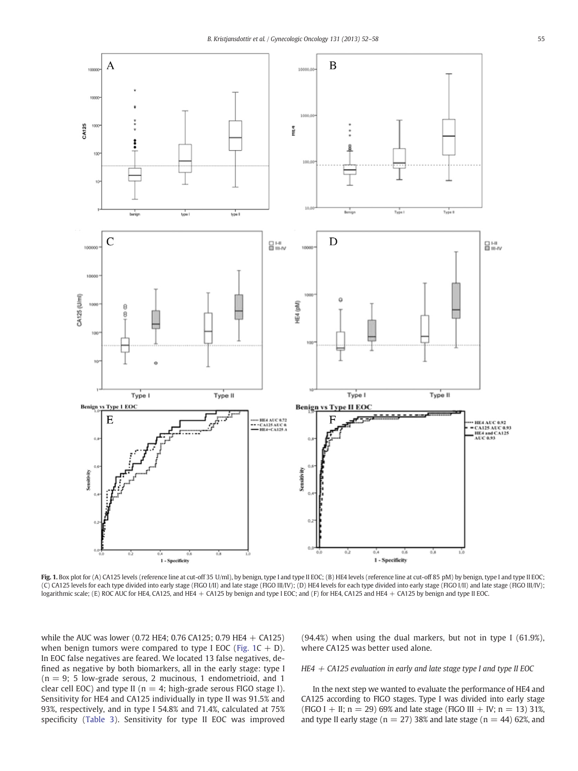<span id="page-3-0"></span>

Fig. 1. Box plot for (A) CA125 levels (reference line at cut-off 35 U/ml), by benign, type I and type II EOC; (B) HE4 levels (reference line at cut-off 85 pM) by benign, type I and type II EOC; (C) CA125 levels for each type divided into early stage (FIGO I/II) and late stage (FIGO III/IV); (D) HE4 levels for each type divided into early stage (FIGO I/II) and late stage (FIGO III/IV); logarithmic scale; (E) ROC AUC for HE4, CA125, and HE4 + CA125 by benign and type I EOC; and (F) for HE4, CA125 and HE4 + CA125 by benign and type II EOC.

while the AUC was lower (0.72 HE4; 0.76 CA125; 0.79 HE4 + CA125) when benign tumors were compared to type I EOC (Fig.  $1C + D$ ). In EOC false negatives are feared. We located 13 false negatives, defined as negative by both biomarkers, all in the early stage: type I  $(n = 9; 5)$  low-grade serous, 2 mucinous, 1 endometrioid, and 1 clear cell EOC) and type II ( $n = 4$ ; high-grade serous FIGO stage I). Sensitivity for HE4 and CA125 individually in type II was 91.5% and 93%, respectively, and in type I 54.8% and 71.4%, calculated at 75% specificity [\(Table 3\)](#page-2-0). Sensitivity for type II EOC was improved

(94.4%) when using the dual markers, but not in type I (61.9%), where CA125 was better used alone.

# HE4  $+$  CA125 evaluation in early and late stage type I and type II EOC

In the next step we wanted to evaluate the performance of HE4 and CA125 according to FIGO stages. Type I was divided into early stage (FIGO I + II;  $n = 29$ ) 69% and late stage (FIGO III + IV;  $n = 13$ ) 31%, and type II early stage ( $n = 27$ ) 38% and late stage ( $n = 44$ ) 62%, and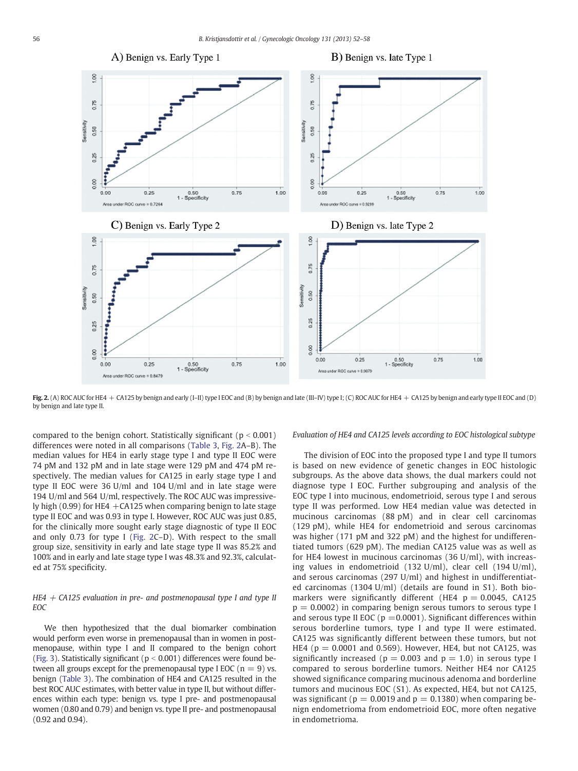

Fig. 2. (A) ROC AUC for HE4 + CA125 by benign and early (I-II) type I EOC and (B) by benign and late (III-IV) type I; (C) ROC AUC for HE4 + CA125 by benign and early type II EOC and (D) by benign and late type II.

compared to the benign cohort. Statistically significant ( $p < 0.001$ ) differences were noted in all comparisons ([Table 3,](#page-2-0) Fig. 2A–B). The median values for HE4 in early stage type I and type II EOC were 74 pM and 132 pM and in late stage were 129 pM and 474 pM respectively. The median values for CA125 in early stage type I and type II EOC were 36 U/ml and 104 U/ml and in late stage were 194 U/ml and 564 U/ml, respectively. The ROC AUC was impressively high (0.99) for HE4  $+$ CA125 when comparing benign to late stage type II EOC and was 0.93 in type I. However, ROC AUC was just 0.85, for the clinically more sought early stage diagnostic of type II EOC and only 0.73 for type I (Fig. 2C–D). With respect to the small group size, sensitivity in early and late stage type II was 85.2% and 100% and in early and late stage type I was 48.3% and 92.3%, calculated at 75% specificity.

# HE4  $+$  CA125 evaluation in pre- and postmenopausal type I and type II EOC

We then hypothesized that the dual biomarker combination would perform even worse in premenopausal than in women in postmenopause, within type I and II compared to the benign cohort [\(Fig. 3](#page-5-0)). Statistically significant ( $p < 0.001$ ) differences were found between all groups except for the premenopausal type I EOC ( $n = 9$ ) vs. benign [\(Table 3\)](#page-2-0). The combination of HE4 and CA125 resulted in the best ROC AUC estimates, with better value in type II, but without differences within each type: benign vs. type I pre- and postmenopausal women (0.80 and 0.79) and benign vs. type II pre- and postmenopausal (0.92 and 0.94).

Evaluation of HE4 and CA125 levels according to EOC histological subtype

The division of EOC into the proposed type I and type II tumors is based on new evidence of genetic changes in EOC histologic subgroups. As the above data shows, the dual markers could not diagnose type I EOC. Further subgrouping and analysis of the EOC type I into mucinous, endometrioid, serous type I and serous type II was performed. Low HE4 median value was detected in mucinous carcinomas (88 pM) and in clear cell carcinomas (129 pM), while HE4 for endometrioid and serous carcinomas was higher (171 pM and 322 pM) and the highest for undifferentiated tumors (629 pM). The median CA125 value was as well as for HE4 lowest in mucinous carcinomas (36 U/ml), with increasing values in endometrioid (132 U/ml), clear cell (194 U/ml), and serous carcinomas (297 U/ml) and highest in undifferentiated carcinomas (1304 U/ml) (details are found in S1). Both biomarkers were significantly different (HE4  $p = 0.0045$ , CA125  $p = 0.0002$ ) in comparing benign serous tumors to serous type I and serous type II EOC ( $p = 0.0001$ ). Significant differences within serous borderline tumors, type I and type II were estimated. CA125 was significantly different between these tumors, but not HE4 ( $p = 0.0001$  and 0.569). However, HE4, but not CA125, was significantly increased ( $p = 0.003$  and  $p = 1.0$ ) in serous type I compared to serous borderline tumors. Neither HE4 nor CA125 showed significance comparing mucinous adenoma and borderline tumors and mucinous EOC (S1). As expected, HE4, but not CA125, was significant ( $p = 0.0019$  and  $p = 0.1380$ ) when comparing benign endometrioma from endometrioid EOC, more often negative in endometrioma.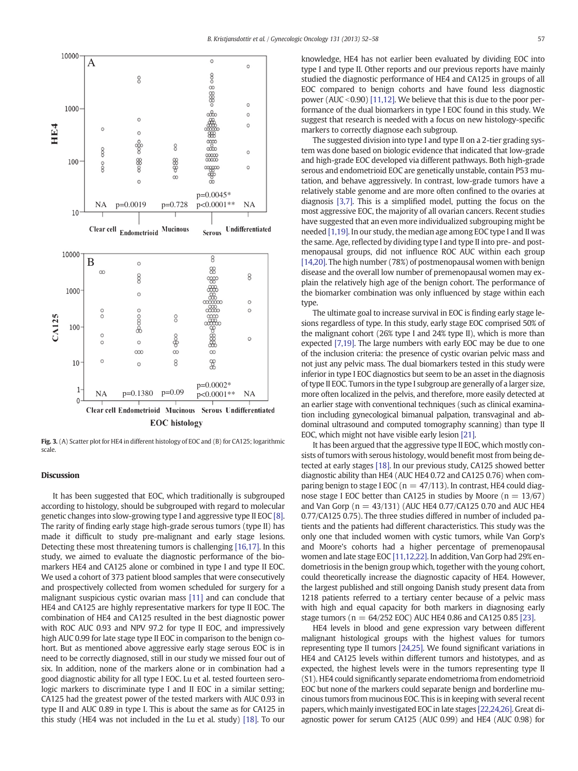<span id="page-5-0"></span>

Fig. 3. (A) Scatter plot for HE4 in different histology of EOC and (B) for CA125; logarithmic scale.

# Discussion

It has been suggested that EOC, which traditionally is subgrouped according to histology, should be subgrouped with regard to molecular genetic changes into slow-growing type I and aggressive type II EOC [\[8\].](#page-6-0) The rarity of finding early stage high-grade serous tumors (type II) has made it difficult to study pre-malignant and early stage lesions. Detecting these most threatening tumors is challenging [\[16,17\]](#page-6-0). In this study, we aimed to evaluate the diagnostic performance of the biomarkers HE4 and CA125 alone or combined in type I and type II EOC. We used a cohort of 373 patient blood samples that were consecutively and prospectively collected from women scheduled for surgery for a malignant suspicious cystic ovarian mass [\[11\]](#page-6-0) and can conclude that HE4 and CA125 are highly representative markers for type II EOC. The combination of HE4 and CA125 resulted in the best diagnostic power with ROC AUC 0.93 and NPV 97.2 for type II EOC, and impressively high AUC 0.99 for late stage type II EOC in comparison to the benign cohort. But as mentioned above aggressive early stage serous EOC is in need to be correctly diagnosed, still in our study we missed four out of six. In addition, none of the markers alone or in combination had a good diagnostic ability for all type I EOC. Lu et al. tested fourteen serologic markers to discriminate type I and II EOC in a similar setting; CA125 had the greatest power of the tested markers with AUC 0.93 in type II and AUC 0.89 in type I. This is about the same as for CA125 in this study (HE4 was not included in the Lu et al. study) [\[18\].](#page-6-0) To our knowledge, HE4 has not earlier been evaluated by dividing EOC into type I and type II. Other reports and our previous reports have mainly studied the diagnostic performance of HE4 and CA125 in groups of all EOC compared to benign cohorts and have found less diagnostic power (AUC <  $0.90$ ) [\[11,12\].](#page-6-0) We believe that this is due to the poor performance of the dual biomarkers in type I EOC found in this study. We suggest that research is needed with a focus on new histology-specific markers to correctly diagnose each subgroup.

The suggested division into type I and type II on a 2-tier grading system was done based on biologic evidence that indicated that low-grade and high-grade EOC developed via different pathways. Both high-grade serous and endometrioid EOC are genetically unstable, contain P53 mutation, and behave aggressively. In contrast, low-grade tumors have a relatively stable genome and are more often confined to the ovaries at diagnosis [\[3,7\]](#page-6-0). This is a simplified model, putting the focus on the most aggressive EOC, the majority of all ovarian cancers. Recent studies have suggested that an even more individualized subgrouping might be needed [\[1,19\].](#page-6-0) In our study, the median age among EOC type I and II was the same. Age, reflected by dividing type I and type II into pre- and postmenopausal groups, did not influence ROC AUC within each group [\[14,20\]](#page-6-0). The high number (78%) of postmenopausal women with benign disease and the overall low number of premenopausal women may explain the relatively high age of the benign cohort. The performance of the biomarker combination was only influenced by stage within each type.

The ultimate goal to increase survival in EOC is finding early stage lesions regardless of type. In this study, early stage EOC comprised 50% of the malignant cohort (26% type I and 24% type II), which is more than expected [\[7,19\].](#page-6-0) The large numbers with early EOC may be due to one of the inclusion criteria: the presence of cystic ovarian pelvic mass and not just any pelvic mass. The dual biomarkers tested in this study were inferior in type I EOC diagnostics but seem to be an asset in the diagnosis of type II EOC. Tumors in the type I subgroup are generally of a larger size, more often localized in the pelvis, and therefore, more easily detected at an earlier stage with conventional techniques (such as clinical examination including gynecological bimanual palpation, transvaginal and abdominal ultrasound and computed tomography scanning) than type II EOC, which might not have visible early lesion [\[21\]](#page-6-0).

It has been argued that the aggressive type II EOC, which mostly consists of tumors with serous histology, would benefit most from being detected at early stages [\[18\]](#page-6-0). In our previous study, CA125 showed better diagnostic ability than HE4 (AUC HE4 0.72 and CA125 0.76) when comparing benign to stage I EOC ( $n = 47/113$ ). In contrast, HE4 could diagnose stage I EOC better than CA125 in studies by Moore ( $n = 13/67$ ) and Van Gorp ( $n = 43/131$ ) (AUC HE4 0.77/CA125 0.70 and AUC HE4 0.77/CA125 0.75). The three studies differed in number of included patients and the patients had different characteristics. This study was the only one that included women with cystic tumors, while Van Gorp's and Moore's cohorts had a higher percentage of premenopausal women and late stage EOC [\[11,12,22\]](#page-6-0). In addition, Van Gorp had 29% endometriosis in the benign group which, together with the young cohort, could theoretically increase the diagnostic capacity of HE4. However, the largest published and still ongoing Danish study present data from 1218 patients referred to a tertiary center because of a pelvic mass with high and equal capacity for both markers in diagnosing early stage tumors ( $n = 64/252$  EOC) AUC HE4 0.86 and CA125 0.85 [\[23\]](#page-6-0).

HE4 levels in blood and gene expression vary between different malignant histological groups with the highest values for tumors representing type II tumors [\[24,25\].](#page-6-0) We found significant variations in HE4 and CA125 levels within different tumors and histotypes, and as expected, the highest levels were in the tumors representing type II (S1). HE4 could significantly separate endometrioma from endometrioid EOC but none of the markers could separate benign and borderline mucinous tumors from mucinous EOC. This is in keeping with several recent papers, which mainly investigated EOC in late stages [\[22,24,26\].](#page-6-0) Great diagnostic power for serum CA125 (AUC 0.99) and HE4 (AUC 0.98) for